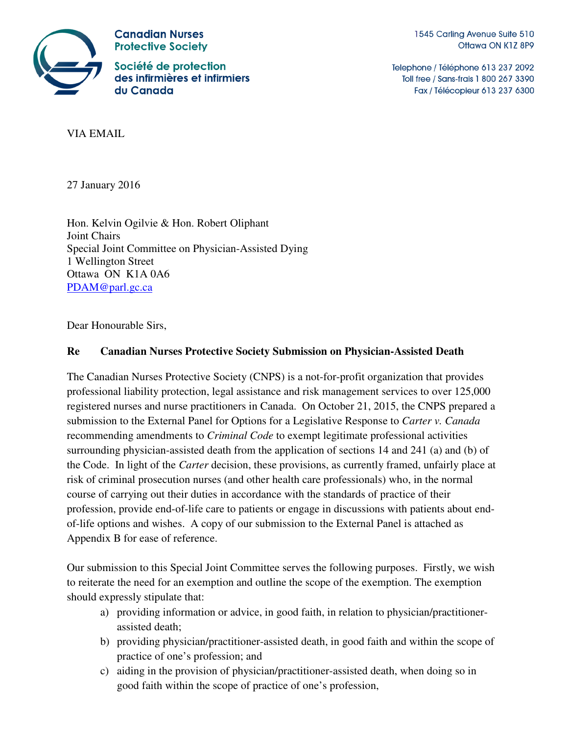

**Canadian Nurses Protective Society** 

Société de protection des infirmières et infirmiers du Canada

1545 Carling Avenue Suite 510 Ottawa ON K1Z 8P9

Telephone / Téléphone 613 237 2092 Toll free / Sans-frais 1 800 267 3390 Fax / Télécopieur 613 237 6300

VIA EMAIL

27 January 2016

Hon. Kelvin Ogilvie & Hon. Robert Oliphant Joint Chairs Special Joint Committee on Physician-Assisted Dying 1 Wellington Street Ottawa ON K1A 0A6 PDAM@parl.gc.ca

Dear Honourable Sirs,

### **Re Canadian Nurses Protective Society Submission on Physician-Assisted Death**

The Canadian Nurses Protective Society (CNPS) is a not-for-profit organization that provides professional liability protection, legal assistance and risk management services to over 125,000 registered nurses and nurse practitioners in Canada. On October 21, 2015, the CNPS prepared a submission to the External Panel for Options for a Legislative Response to *Carter v. Canada* recommending amendments to *Criminal Code* to exempt legitimate professional activities surrounding physician-assisted death from the application of sections 14 and 241 (a) and (b) of the Code. In light of the *Carter* decision, these provisions, as currently framed, unfairly place at risk of criminal prosecution nurses (and other health care professionals) who, in the normal course of carrying out their duties in accordance with the standards of practice of their profession, provide end-of-life care to patients or engage in discussions with patients about endof-life options and wishes. A copy of our submission to the External Panel is attached as Appendix B for ease of reference.

Our submission to this Special Joint Committee serves the following purposes. Firstly, we wish to reiterate the need for an exemption and outline the scope of the exemption. The exemption should expressly stipulate that:

- a) providing information or advice, in good faith, in relation to physician/practitionerassisted death;
- b) providing physician/practitioner-assisted death, in good faith and within the scope of practice of one's profession; and
- c) aiding in the provision of physician/practitioner-assisted death, when doing so in good faith within the scope of practice of one's profession,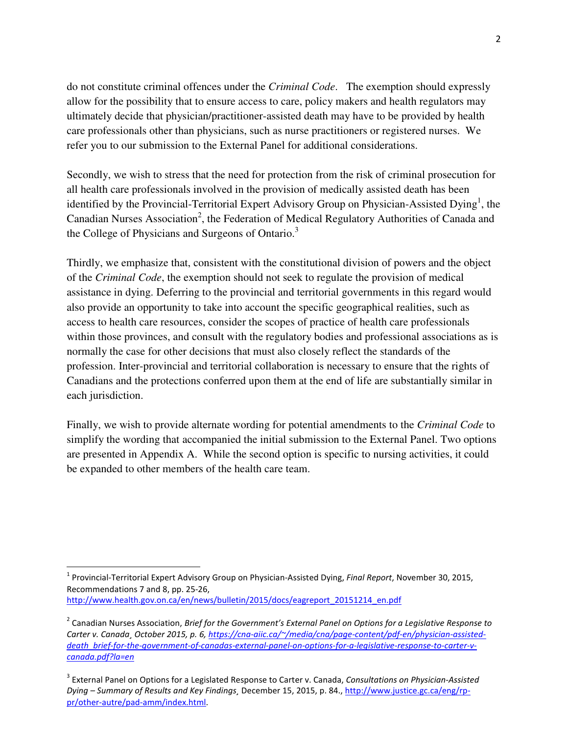do not constitute criminal offences under the *Criminal Code*. The exemption should expressly allow for the possibility that to ensure access to care, policy makers and health regulators may ultimately decide that physician/practitioner-assisted death may have to be provided by health care professionals other than physicians, such as nurse practitioners or registered nurses. We refer you to our submission to the External Panel for additional considerations.

Secondly, we wish to stress that the need for protection from the risk of criminal prosecution for all health care professionals involved in the provision of medically assisted death has been identified by the Provincial-Territorial Expert Advisory Group on Physician-Assisted Dying<sup>1</sup>, the Canadian Nurses Association<sup>2</sup>, the Federation of Medical Regulatory Authorities of Canada and the College of Physicians and Surgeons of Ontario.<sup>3</sup>

Thirdly, we emphasize that, consistent with the constitutional division of powers and the object of the *Criminal Code*, the exemption should not seek to regulate the provision of medical assistance in dying. Deferring to the provincial and territorial governments in this regard would also provide an opportunity to take into account the specific geographical realities, such as access to health care resources, consider the scopes of practice of health care professionals within those provinces, and consult with the regulatory bodies and professional associations as is normally the case for other decisions that must also closely reflect the standards of the profession. Inter-provincial and territorial collaboration is necessary to ensure that the rights of Canadians and the protections conferred upon them at the end of life are substantially similar in each jurisdiction.

Finally, we wish to provide alternate wording for potential amendments to the *Criminal Code* to simplify the wording that accompanied the initial submission to the External Panel. Two options are presented in Appendix A. While the second option is specific to nursing activities, it could be expanded to other members of the health care team.

 $\overline{a}$ 

<sup>&</sup>lt;sup>1</sup> Provincial-Territorial Expert Advisory Group on Physician-Assisted Dying, Final Report, November 30, 2015, Recommendations 7 and 8, pp. 25-26, http://www.health.gov.on.ca/en/news/bulletin/2015/docs/eagreport\_20151214\_en.pdf

<sup>&</sup>lt;sup>2</sup> Canadian Nurses Association, Brief for the Government's External Panel on Options for a Legislative Response to Carter v. Canada¸ October 2015, p. 6, https://cna-aiic.ca/~/media/cna/page-content/pdf-en/physician-assisteddeath\_brief-for-the-government-of-canadas-external-panel-on-options-for-a-legislative-response-to-carter-vcanada.pdf?la=en

<sup>&</sup>lt;sup>3</sup> External Panel on Options for a Legislated Response to Carter v. Canada, Consultations on Physician-Assisted Dying – Summary of Results and Key Findings¸ December 15, 2015, p. 84., http://www.justice.gc.ca/eng/rppr/other-autre/pad-amm/index.html.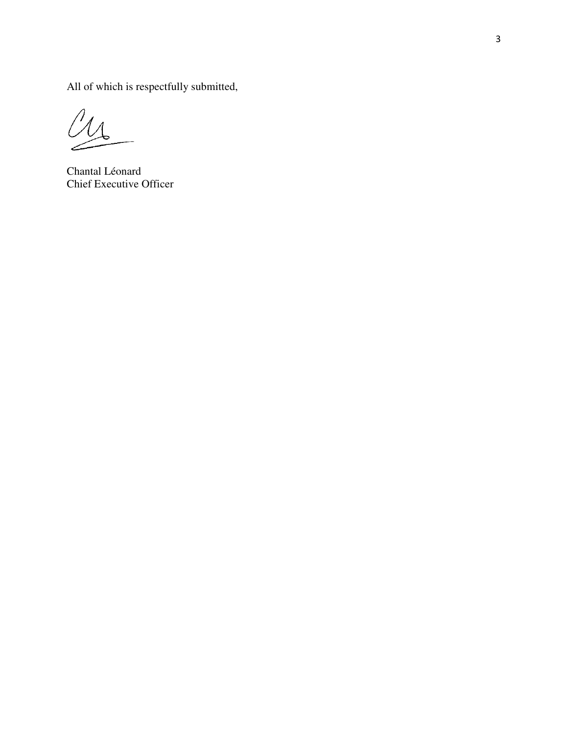All of which is respectfully submitted,

 $\iint_A$ سير

Chantal Léonard Chief Executive Officer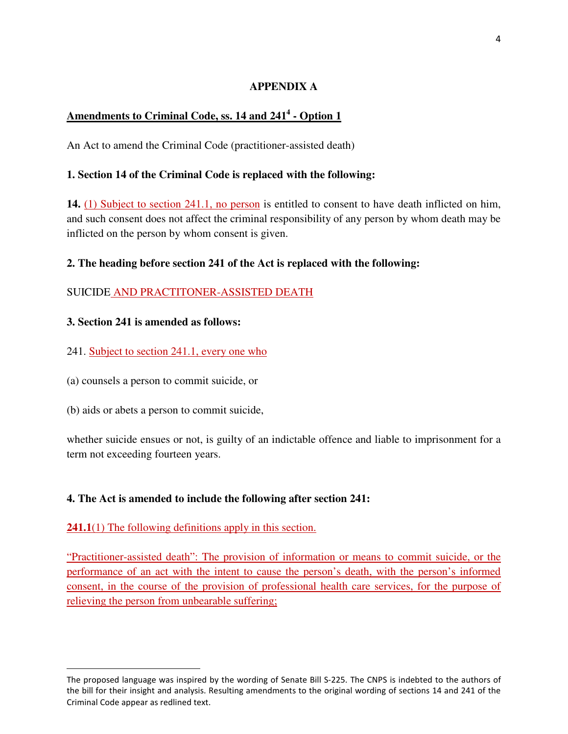### **APPENDIX A**

# **Amendments to Criminal Code, ss. 14 and 241<sup>4</sup> - Option 1**

An Act to amend the Criminal Code (practitioner-assisted death)

### **1. Section 14 of the Criminal Code is replaced with the following:**

**14.** (1) Subject to section 241.1, no person is entitled to consent to have death inflicted on him, and such consent does not affect the criminal responsibility of any person by whom death may be inflicted on the person by whom consent is given.

#### **2. The heading before section 241 of the Act is replaced with the following:**

### SUICIDE AND PRACTITONER-ASSISTED DEATH

#### **3. Section 241 is amended as follows:**

- 241. Subject to section 241.1, every one who
- (a) counsels a person to commit suicide, or
- (b) aids or abets a person to commit suicide,

l

whether suicide ensues or not, is guilty of an indictable offence and liable to imprisonment for a term not exceeding fourteen years.

#### **4. The Act is amended to include the following after section 241:**

#### **241.1**(1) The following definitions apply in this section.

"Practitioner-assisted death": The provision of information or means to commit suicide, or the performance of an act with the intent to cause the person's death, with the person's informed consent, in the course of the provision of professional health care services, for the purpose of relieving the person from unbearable suffering;

The proposed language was inspired by the wording of Senate Bill S-225. The CNPS is indebted to the authors of the bill for their insight and analysis. Resulting amendments to the original wording of sections 14 and 241 of the Criminal Code appear as redlined text.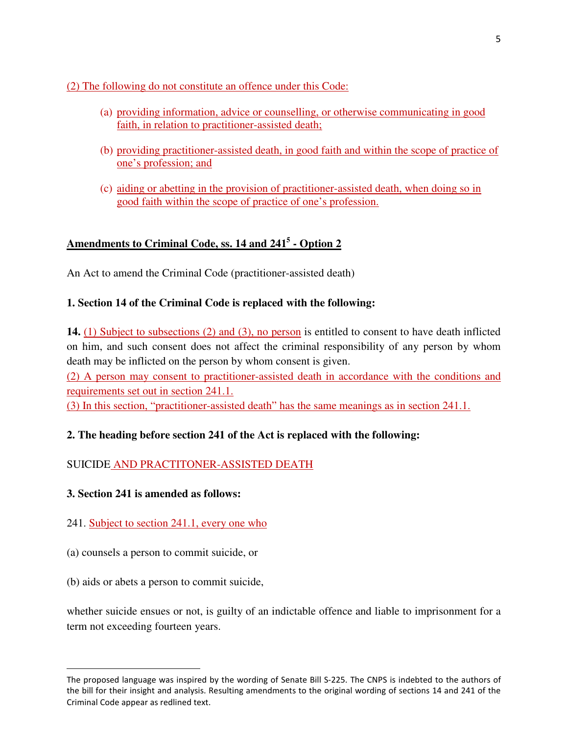(2) The following do not constitute an offence under this Code:

- (a) providing information, advice or counselling, or otherwise communicating in good faith, in relation to practitioner-assisted death;
- (b) providing practitioner-assisted death, in good faith and within the scope of practice of one's profession; and
- (c) aiding or abetting in the provision of practitioner-assisted death, when doing so in good faith within the scope of practice of one's profession.

# **Amendments to Criminal Code, ss. 14 and 241<sup>5</sup> - Option 2**

An Act to amend the Criminal Code (practitioner-assisted death)

### **1. Section 14 of the Criminal Code is replaced with the following:**

**14.** (1) Subject to subsections (2) and (3), no person is entitled to consent to have death inflicted on him, and such consent does not affect the criminal responsibility of any person by whom death may be inflicted on the person by whom consent is given.

(2) A person may consent to practitioner-assisted death in accordance with the conditions and requirements set out in section 241.1.

(3) In this section, "practitioner-assisted death" has the same meanings as in section 241.1.

# **2. The heading before section 241 of the Act is replaced with the following:**

# SUICIDE AND PRACTITONER-ASSISTED DEATH

#### **3. Section 241 is amended as follows:**

# 241. Subject to section 241.1, every one who

- (a) counsels a person to commit suicide, or
- (b) aids or abets a person to commit suicide,

l

whether suicide ensues or not, is guilty of an indictable offence and liable to imprisonment for a term not exceeding fourteen years.

The proposed language was inspired by the wording of Senate Bill S-225. The CNPS is indebted to the authors of the bill for their insight and analysis. Resulting amendments to the original wording of sections 14 and 241 of the Criminal Code appear as redlined text.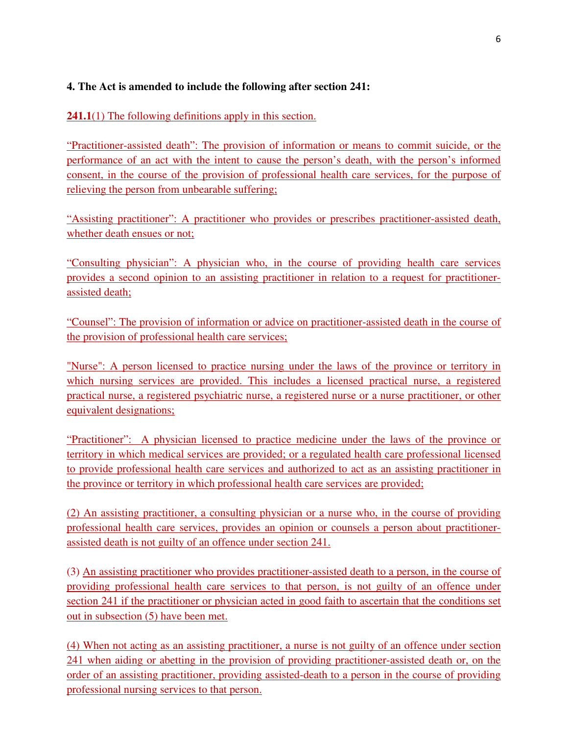### **4. The Act is amended to include the following after section 241:**

**241.1**(1) The following definitions apply in this section.

"Practitioner-assisted death": The provision of information or means to commit suicide, or the performance of an act with the intent to cause the person's death, with the person's informed consent, in the course of the provision of professional health care services, for the purpose of relieving the person from unbearable suffering;

"Assisting practitioner": A practitioner who provides or prescribes practitioner-assisted death, whether death ensues or not;

"Consulting physician": A physician who, in the course of providing health care services provides a second opinion to an assisting practitioner in relation to a request for practitionerassisted death;

"Counsel": The provision of information or advice on practitioner-assisted death in the course of the provision of professional health care services;

"Nurse": A person licensed to practice nursing under the laws of the province or territory in which nursing services are provided. This includes a licensed practical nurse, a registered practical nurse, a registered psychiatric nurse, a registered nurse or a nurse practitioner, or other equivalent designations;

"Practitioner": A physician licensed to practice medicine under the laws of the province or territory in which medical services are provided; or a regulated health care professional licensed to provide professional health care services and authorized to act as an assisting practitioner in the province or territory in which professional health care services are provided;

(2) An assisting practitioner, a consulting physician or a nurse who, in the course of providing professional health care services, provides an opinion or counsels a person about practitionerassisted death is not guilty of an offence under section 241.

(3) An assisting practitioner who provides practitioner-assisted death to a person, in the course of providing professional health care services to that person, is not guilty of an offence under section 241 if the practitioner or physician acted in good faith to ascertain that the conditions set out in subsection (5) have been met.

(4) When not acting as an assisting practitioner, a nurse is not guilty of an offence under section 241 when aiding or abetting in the provision of providing practitioner-assisted death or, on the order of an assisting practitioner, providing assisted-death to a person in the course of providing professional nursing services to that person.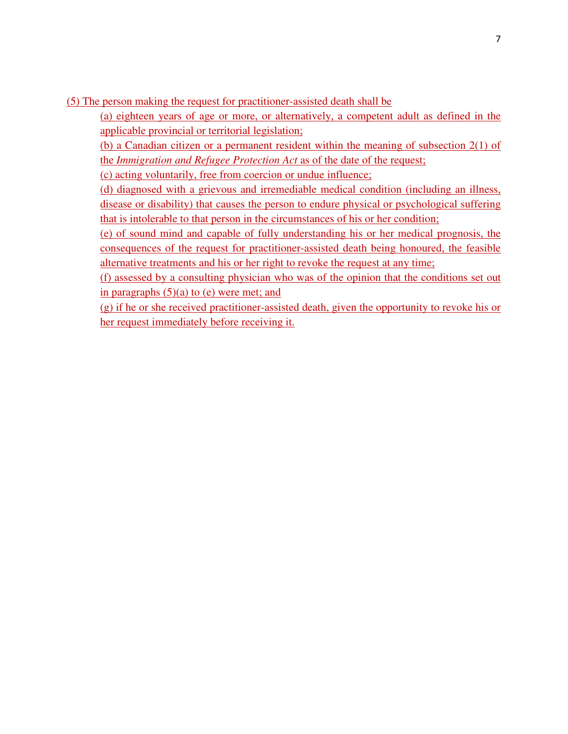(5) The person making the request for practitioner-assisted death shall be

(a) eighteen years of age or more, or alternatively, a competent adult as defined in the applicable provincial or territorial legislation;

(b) a Canadian citizen or a permanent resident within the meaning of subsection 2(1) of the *Immigration and Refugee Protection Act* as of the date of the request;

(c) acting voluntarily, free from coercion or undue influence;

(d) diagnosed with a grievous and irremediable medical condition (including an illness, disease or disability) that causes the person to endure physical or psychological suffering that is intolerable to that person in the circumstances of his or her condition;

(e) of sound mind and capable of fully understanding his or her medical prognosis, the consequences of the request for practitioner-assisted death being honoured, the feasible alternative treatments and his or her right to revoke the request at any time;

(f) assessed by a consulting physician who was of the opinion that the conditions set out in paragraphs  $(5)(a)$  to  $(e)$  were met; and

(g) if he or she received practitioner-assisted death, given the opportunity to revoke his or her request immediately before receiving it.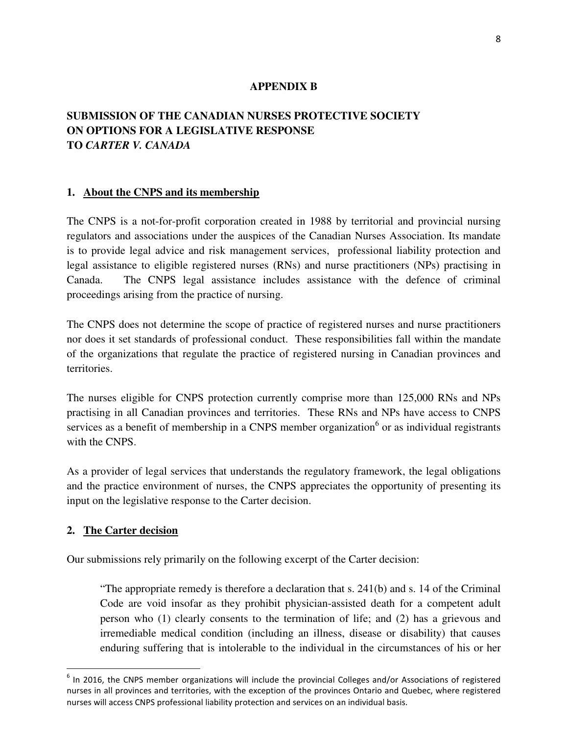#### **APPENDIX B**

# **SUBMISSION OF THE CANADIAN NURSES PROTECTIVE SOCIETY ON OPTIONS FOR A LEGISLATIVE RESPONSE TO** *CARTER V. CANADA*

#### **1. About the CNPS and its membership**

The CNPS is a not-for-profit corporation created in 1988 by territorial and provincial nursing regulators and associations under the auspices of the Canadian Nurses Association. Its mandate is to provide legal advice and risk management services, professional liability protection and legal assistance to eligible registered nurses (RNs) and nurse practitioners (NPs) practising in Canada. The CNPS legal assistance includes assistance with the defence of criminal proceedings arising from the practice of nursing.

The CNPS does not determine the scope of practice of registered nurses and nurse practitioners nor does it set standards of professional conduct. These responsibilities fall within the mandate of the organizations that regulate the practice of registered nursing in Canadian provinces and territories.

The nurses eligible for CNPS protection currently comprise more than 125,000 RNs and NPs practising in all Canadian provinces and territories. These RNs and NPs have access to CNPS services as a benefit of membership in a CNPS member organization<sup>6</sup> or as individual registrants with the CNPS.

As a provider of legal services that understands the regulatory framework, the legal obligations and the practice environment of nurses, the CNPS appreciates the opportunity of presenting its input on the legislative response to the Carter decision.

#### **2. The Carter decision**

l

Our submissions rely primarily on the following excerpt of the Carter decision:

"The appropriate remedy is therefore a declaration that s. 241(b) and s. 14 of the Criminal Code are void insofar as they prohibit physician-assisted death for a competent adult person who (1) clearly consents to the termination of life; and (2) has a grievous and irremediable medical condition (including an illness, disease or disability) that causes enduring suffering that is intolerable to the individual in the circumstances of his or her

 $<sup>6</sup>$  In 2016, the CNPS member organizations will include the provincial Colleges and/or Associations of registered</sup> nurses in all provinces and territories, with the exception of the provinces Ontario and Quebec, where registered nurses will access CNPS professional liability protection and services on an individual basis.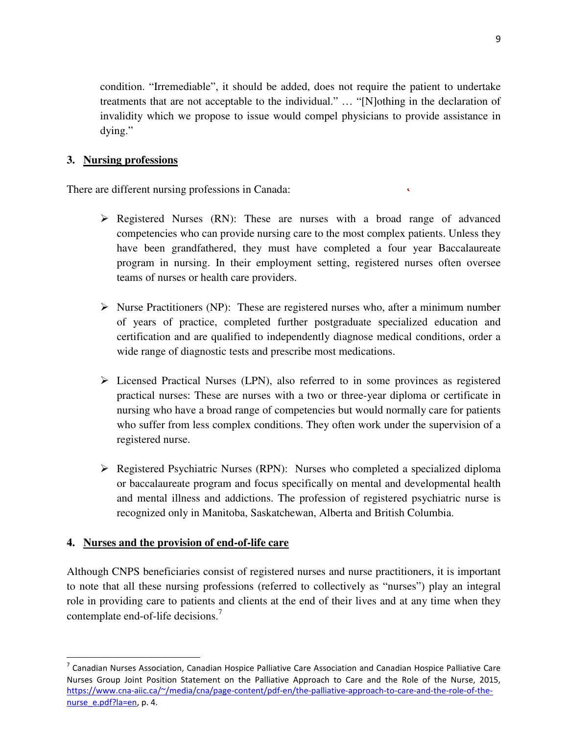condition. "Irremediable", it should be added, does not require the patient to undertake treatments that are not acceptable to the individual." … "[N]othing in the declaration of invalidity which we propose to issue would compel physicians to provide assistance in dying."

### **3. Nursing professions**

There are different nursing professions in Canada:

 $\triangleright$  Registered Nurses (RN): These are nurses with a broad range of advanced competencies who can provide nursing care to the most complex patients. Unless they have been grandfathered, they must have completed a four year Baccalaureate program in nursing. In their employment setting, registered nurses often oversee teams of nurses or health care providers.

 $\mathbf{C}$ 

- $\triangleright$  Nurse Practitioners (NP): These are registered nurses who, after a minimum number of years of practice, completed further postgraduate specialized education and certification and are qualified to independently diagnose medical conditions, order a wide range of diagnostic tests and prescribe most medications.
- $\triangleright$  Licensed Practical Nurses (LPN), also referred to in some provinces as registered practical nurses: These are nurses with a two or three-year diploma or certificate in nursing who have a broad range of competencies but would normally care for patients who suffer from less complex conditions. They often work under the supervision of a registered nurse.
- Registered Psychiatric Nurses (RPN): Nurses who completed a specialized diploma or baccalaureate program and focus specifically on mental and developmental health and mental illness and addictions. The profession of registered psychiatric nurse is recognized only in Manitoba, Saskatchewan, Alberta and British Columbia.

#### **4. Nurses and the provision of end-of-life care**

Although CNPS beneficiaries consist of registered nurses and nurse practitioners, it is important to note that all these nursing professions (referred to collectively as "nurses") play an integral role in providing care to patients and clients at the end of their lives and at any time when they contemplate end-of-life decisions.<sup>7</sup>

<sup>&</sup>lt;sup>7</sup> Canadian Nurses Association, Canadian Hospice Palliative Care Association and Canadian Hospice Palliative Care Nurses Group Joint Position Statement on the Palliative Approach to Care and the Role of the Nurse, 2015, https://www.cna-aiic.ca/~/media/cna/page-content/pdf-en/the-palliative-approach-to-care-and-the-role-of-thenurse\_e.pdf?la=en, p. 4.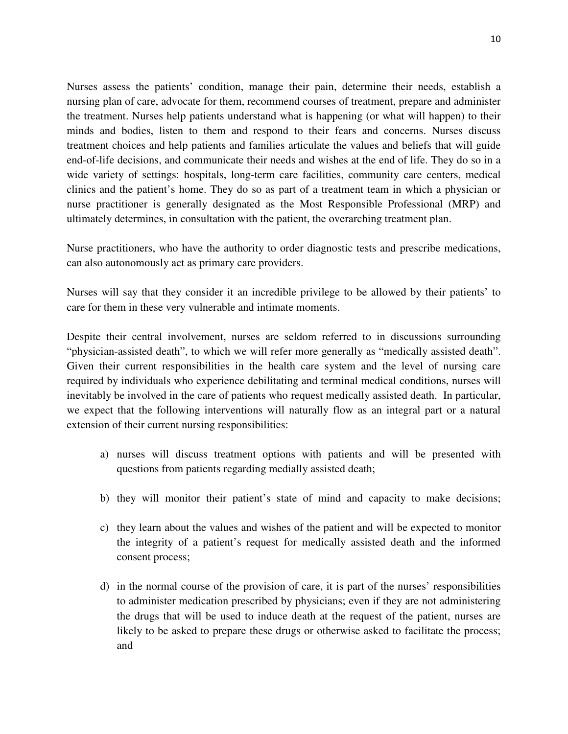Nurses assess the patients' condition, manage their pain, determine their needs, establish a nursing plan of care, advocate for them, recommend courses of treatment, prepare and administer the treatment. Nurses help patients understand what is happening (or what will happen) to their minds and bodies, listen to them and respond to their fears and concerns. Nurses discuss treatment choices and help patients and families articulate the values and beliefs that will guide end-of-life decisions, and communicate their needs and wishes at the end of life. They do so in a wide variety of settings: hospitals, long-term care facilities, community care centers, medical clinics and the patient's home. They do so as part of a treatment team in which a physician or nurse practitioner is generally designated as the Most Responsible Professional (MRP) and ultimately determines, in consultation with the patient, the overarching treatment plan.

Nurse practitioners, who have the authority to order diagnostic tests and prescribe medications, can also autonomously act as primary care providers.

Nurses will say that they consider it an incredible privilege to be allowed by their patients' to care for them in these very vulnerable and intimate moments.

Despite their central involvement, nurses are seldom referred to in discussions surrounding "physician-assisted death", to which we will refer more generally as "medically assisted death". Given their current responsibilities in the health care system and the level of nursing care required by individuals who experience debilitating and terminal medical conditions, nurses will inevitably be involved in the care of patients who request medically assisted death. In particular, we expect that the following interventions will naturally flow as an integral part or a natural extension of their current nursing responsibilities:

- a) nurses will discuss treatment options with patients and will be presented with questions from patients regarding medially assisted death;
- b) they will monitor their patient's state of mind and capacity to make decisions;
- c) they learn about the values and wishes of the patient and will be expected to monitor the integrity of a patient's request for medically assisted death and the informed consent process;
- d) in the normal course of the provision of care, it is part of the nurses' responsibilities to administer medication prescribed by physicians; even if they are not administering the drugs that will be used to induce death at the request of the patient, nurses are likely to be asked to prepare these drugs or otherwise asked to facilitate the process; and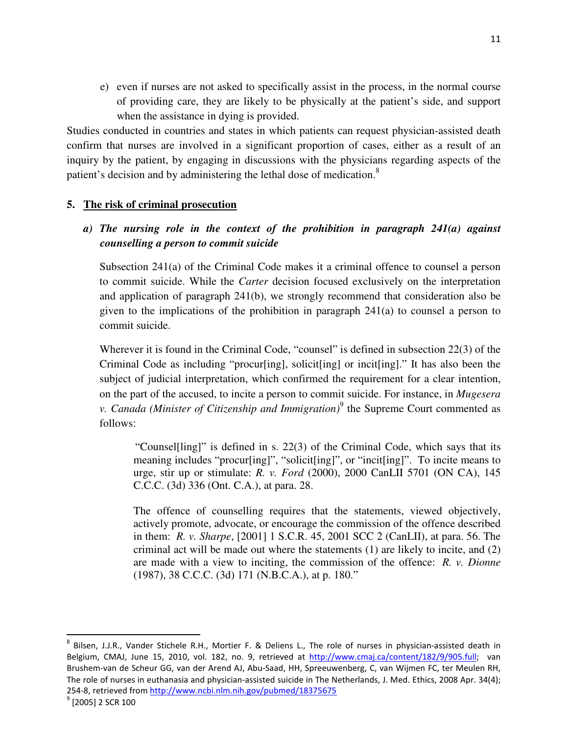e) even if nurses are not asked to specifically assist in the process, in the normal course of providing care, they are likely to be physically at the patient's side, and support when the assistance in dying is provided.

Studies conducted in countries and states in which patients can request physician-assisted death confirm that nurses are involved in a significant proportion of cases, either as a result of an inquiry by the patient, by engaging in discussions with the physicians regarding aspects of the patient's decision and by administering the lethal dose of medication.<sup>8</sup>

#### **5. The risk of criminal prosecution**

*a) The nursing role in the context of the prohibition in paragraph 241(a) against counselling a person to commit suicide* 

Subsection 241(a) of the Criminal Code makes it a criminal offence to counsel a person to commit suicide. While the *Carter* decision focused exclusively on the interpretation and application of paragraph 241(b), we strongly recommend that consideration also be given to the implications of the prohibition in paragraph 241(a) to counsel a person to commit suicide.

Wherever it is found in the Criminal Code, "counsel" is defined in subsection 22(3) of the Criminal Code as including "procur[ing], solicit[ing] or incit[ing]." It has also been the subject of judicial interpretation, which confirmed the requirement for a clear intention, on the part of the accused, to incite a person to commit suicide. For instance, in *Mugesera v. Canada (Minister of Citizenship and Immigration)*<sup>9</sup> the Supreme Court commented as follows:

"Counselling]" is defined in s. 22(3) of the Criminal Code, which says that its meaning includes "procur[ing]", "solicit[ing]", or "incit[ing]". To incite means to urge, stir up or stimulate: *R. v. Ford* (2000), 2000 CanLII 5701 (ON CA), 145 C.C.C. (3d) 336 (Ont. C.A.), at para. 28.

The offence of counselling requires that the statements, viewed objectively, actively promote, advocate, or encourage the commission of the offence described in them: *R. v. Sharpe*, [2001] 1 S.C.R. 45, 2001 SCC 2 (CanLII), at para. 56. The criminal act will be made out where the statements (1) are likely to incite, and (2) are made with a view to inciting, the commission of the offence: *R. v. Dionne*  (1987), 38 C.C.C. (3d) 171 (N.B.C.A.), at p. 180."

l

<sup>&</sup>lt;sup>8</sup> Bilsen, J.J.R., Vander Stichele R.H., Mortier F. & Deliens L., The role of nurses in physician-assisted death in Belgium, CMAJ, June 15, 2010, vol. 182, no. 9, retrieved at http://www.cmaj.ca/content/182/9/905.full; van Brushem-van de Scheur GG, van der Arend AJ, Abu-Saad, HH, Spreeuwenberg, C, van Wijmen FC, ter Meulen RH, The role of nurses in euthanasia and physician-assisted suicide in The Netherlands, J. Med. Ethics, 2008 Apr. 34(4); 254-8, retrieved from http://www.ncbi.nlm.nih.gov/pubmed/18375675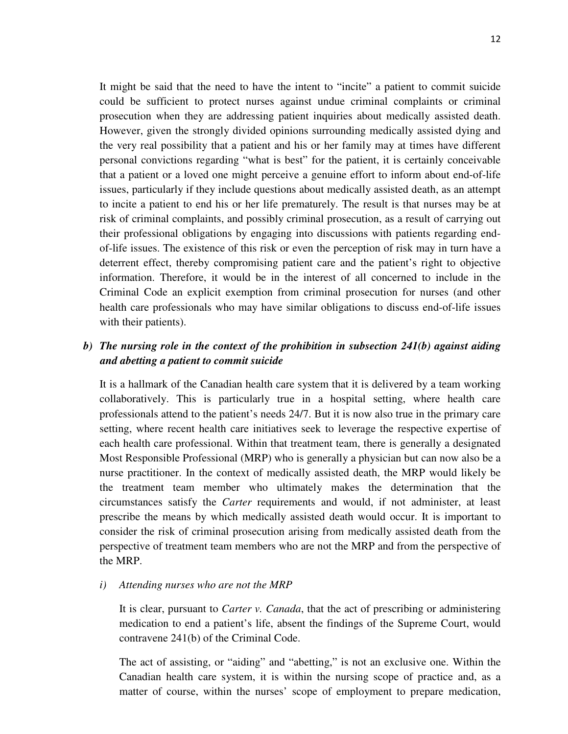It might be said that the need to have the intent to "incite" a patient to commit suicide could be sufficient to protect nurses against undue criminal complaints or criminal prosecution when they are addressing patient inquiries about medically assisted death. However, given the strongly divided opinions surrounding medically assisted dying and the very real possibility that a patient and his or her family may at times have different personal convictions regarding "what is best" for the patient, it is certainly conceivable that a patient or a loved one might perceive a genuine effort to inform about end-of-life issues, particularly if they include questions about medically assisted death, as an attempt to incite a patient to end his or her life prematurely. The result is that nurses may be at risk of criminal complaints, and possibly criminal prosecution, as a result of carrying out their professional obligations by engaging into discussions with patients regarding endof-life issues. The existence of this risk or even the perception of risk may in turn have a deterrent effect, thereby compromising patient care and the patient's right to objective information. Therefore, it would be in the interest of all concerned to include in the Criminal Code an explicit exemption from criminal prosecution for nurses (and other health care professionals who may have similar obligations to discuss end-of-life issues with their patients).

### *b) The nursing role in the context of the prohibition in subsection 241(b) against aiding and abetting a patient to commit suicide*

It is a hallmark of the Canadian health care system that it is delivered by a team working collaboratively. This is particularly true in a hospital setting, where health care professionals attend to the patient's needs 24/7. But it is now also true in the primary care setting, where recent health care initiatives seek to leverage the respective expertise of each health care professional. Within that treatment team, there is generally a designated Most Responsible Professional (MRP) who is generally a physician but can now also be a nurse practitioner. In the context of medically assisted death, the MRP would likely be the treatment team member who ultimately makes the determination that the circumstances satisfy the *Carter* requirements and would, if not administer, at least prescribe the means by which medically assisted death would occur. It is important to consider the risk of criminal prosecution arising from medically assisted death from the perspective of treatment team members who are not the MRP and from the perspective of the MRP.

#### *i) Attending nurses who are not the MRP*

It is clear, pursuant to *Carter v. Canada*, that the act of prescribing or administering medication to end a patient's life, absent the findings of the Supreme Court, would contravene 241(b) of the Criminal Code.

The act of assisting, or "aiding" and "abetting," is not an exclusive one. Within the Canadian health care system, it is within the nursing scope of practice and, as a matter of course, within the nurses' scope of employment to prepare medication,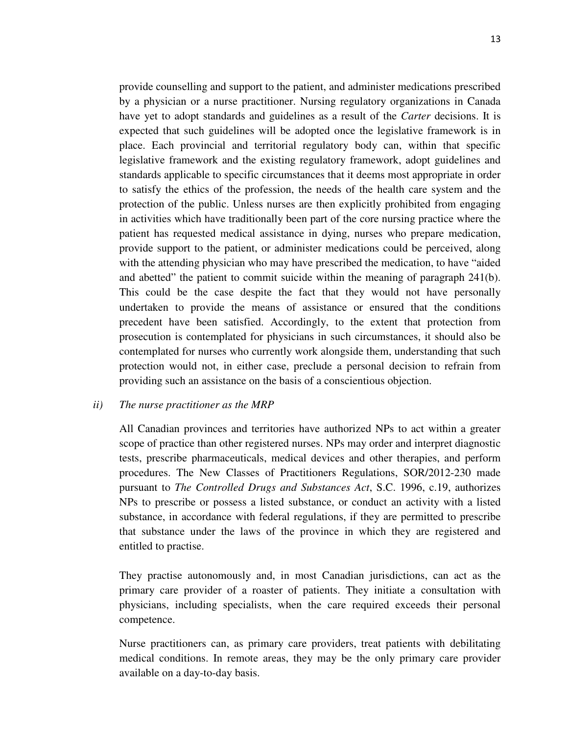provide counselling and support to the patient, and administer medications prescribed by a physician or a nurse practitioner. Nursing regulatory organizations in Canada have yet to adopt standards and guidelines as a result of the *Carter* decisions. It is expected that such guidelines will be adopted once the legislative framework is in place. Each provincial and territorial regulatory body can, within that specific legislative framework and the existing regulatory framework, adopt guidelines and standards applicable to specific circumstances that it deems most appropriate in order to satisfy the ethics of the profession, the needs of the health care system and the protection of the public. Unless nurses are then explicitly prohibited from engaging in activities which have traditionally been part of the core nursing practice where the patient has requested medical assistance in dying, nurses who prepare medication, provide support to the patient, or administer medications could be perceived, along with the attending physician who may have prescribed the medication, to have "aided and abetted" the patient to commit suicide within the meaning of paragraph 241(b). This could be the case despite the fact that they would not have personally undertaken to provide the means of assistance or ensured that the conditions precedent have been satisfied. Accordingly, to the extent that protection from prosecution is contemplated for physicians in such circumstances, it should also be contemplated for nurses who currently work alongside them, understanding that such protection would not, in either case, preclude a personal decision to refrain from

#### *ii) The nurse practitioner as the MRP*

All Canadian provinces and territories have authorized NPs to act within a greater scope of practice than other registered nurses. NPs may order and interpret diagnostic tests, prescribe pharmaceuticals, medical devices and other therapies, and perform procedures. The New Classes of Practitioners Regulations, SOR/2012-230 made pursuant to *The Controlled Drugs and Substances Act*, S.C. 1996, c.19, authorizes NPs to prescribe or possess a listed substance, or conduct an activity with a listed substance, in accordance with federal regulations, if they are permitted to prescribe that substance under the laws of the province in which they are registered and entitled to practise.

providing such an assistance on the basis of a conscientious objection.

They practise autonomously and, in most Canadian jurisdictions, can act as the primary care provider of a roaster of patients. They initiate a consultation with physicians, including specialists, when the care required exceeds their personal competence.

Nurse practitioners can, as primary care providers, treat patients with debilitating medical conditions. In remote areas, they may be the only primary care provider available on a day-to-day basis.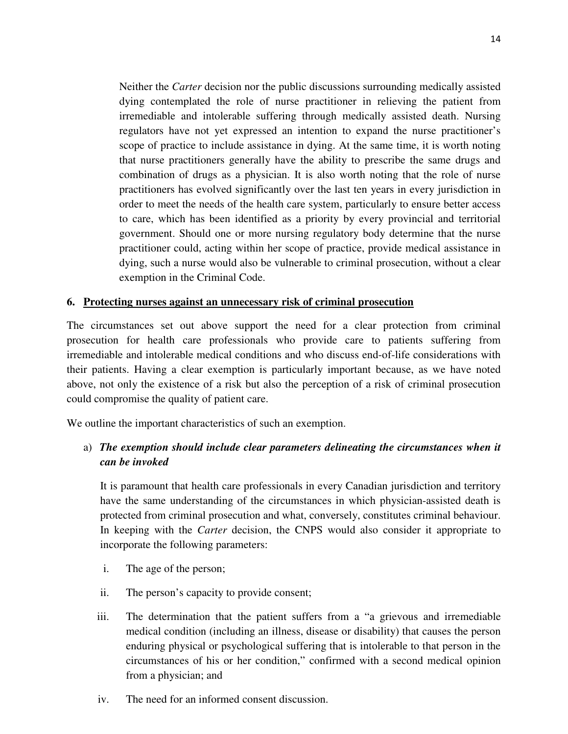Neither the *Carter* decision nor the public discussions surrounding medically assisted dying contemplated the role of nurse practitioner in relieving the patient from irremediable and intolerable suffering through medically assisted death. Nursing regulators have not yet expressed an intention to expand the nurse practitioner's scope of practice to include assistance in dying. At the same time, it is worth noting that nurse practitioners generally have the ability to prescribe the same drugs and combination of drugs as a physician. It is also worth noting that the role of nurse practitioners has evolved significantly over the last ten years in every jurisdiction in order to meet the needs of the health care system, particularly to ensure better access to care, which has been identified as a priority by every provincial and territorial government. Should one or more nursing regulatory body determine that the nurse practitioner could, acting within her scope of practice, provide medical assistance in dying, such a nurse would also be vulnerable to criminal prosecution, without a clear exemption in the Criminal Code.

#### **6. Protecting nurses against an unnecessary risk of criminal prosecution**

The circumstances set out above support the need for a clear protection from criminal prosecution for health care professionals who provide care to patients suffering from irremediable and intolerable medical conditions and who discuss end-of-life considerations with their patients. Having a clear exemption is particularly important because, as we have noted above, not only the existence of a risk but also the perception of a risk of criminal prosecution could compromise the quality of patient care.

We outline the important characteristics of such an exemption.

# a) *The exemption should include clear parameters delineating the circumstances when it can be invoked*

It is paramount that health care professionals in every Canadian jurisdiction and territory have the same understanding of the circumstances in which physician-assisted death is protected from criminal prosecution and what, conversely, constitutes criminal behaviour. In keeping with the *Carter* decision, the CNPS would also consider it appropriate to incorporate the following parameters:

- i. The age of the person;
- ii. The person's capacity to provide consent;
- iii. The determination that the patient suffers from a "a grievous and irremediable medical condition (including an illness, disease or disability) that causes the person enduring physical or psychological suffering that is intolerable to that person in the circumstances of his or her condition," confirmed with a second medical opinion from a physician; and
- iv. The need for an informed consent discussion.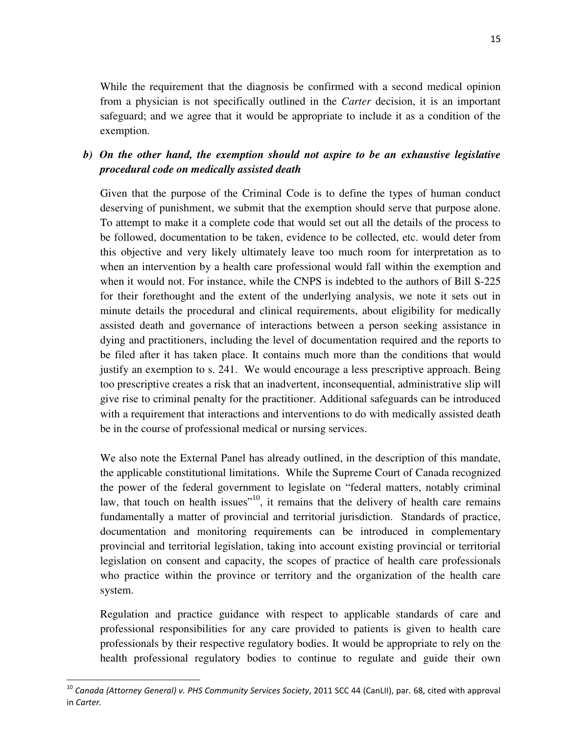While the requirement that the diagnosis be confirmed with a second medical opinion from a physician is not specifically outlined in the *Carter* decision, it is an important safeguard; and we agree that it would be appropriate to include it as a condition of the exemption.

### *b) On the other hand, the exemption should not aspire to be an exhaustive legislative procedural code on medically assisted death*

Given that the purpose of the Criminal Code is to define the types of human conduct deserving of punishment, we submit that the exemption should serve that purpose alone. To attempt to make it a complete code that would set out all the details of the process to be followed, documentation to be taken, evidence to be collected, etc. would deter from this objective and very likely ultimately leave too much room for interpretation as to when an intervention by a health care professional would fall within the exemption and when it would not. For instance, while the CNPS is indebted to the authors of Bill S-225 for their forethought and the extent of the underlying analysis, we note it sets out in minute details the procedural and clinical requirements, about eligibility for medically assisted death and governance of interactions between a person seeking assistance in dying and practitioners, including the level of documentation required and the reports to be filed after it has taken place. It contains much more than the conditions that would justify an exemption to s. 241. We would encourage a less prescriptive approach. Being too prescriptive creates a risk that an inadvertent, inconsequential, administrative slip will give rise to criminal penalty for the practitioner. Additional safeguards can be introduced with a requirement that interactions and interventions to do with medically assisted death be in the course of professional medical or nursing services.

We also note the External Panel has already outlined, in the description of this mandate, the applicable constitutional limitations. While the Supreme Court of Canada recognized the power of the federal government to legislate on "federal matters, notably criminal law, that touch on health issues<sup> $10$ </sup>, it remains that the delivery of health care remains fundamentally a matter of provincial and territorial jurisdiction. Standards of practice, documentation and monitoring requirements can be introduced in complementary provincial and territorial legislation, taking into account existing provincial or territorial legislation on consent and capacity, the scopes of practice of health care professionals who practice within the province or territory and the organization of the health care system.

Regulation and practice guidance with respect to applicable standards of care and professional responsibilities for any care provided to patients is given to health care professionals by their respective regulatory bodies. It would be appropriate to rely on the health professional regulatory bodies to continue to regulate and guide their own

l

<sup>&</sup>lt;sup>10</sup> Canada (Attorney General) v. PHS Community Services Society, 2011 SCC 44 (CanLII), par. 68, cited with approval in Carter.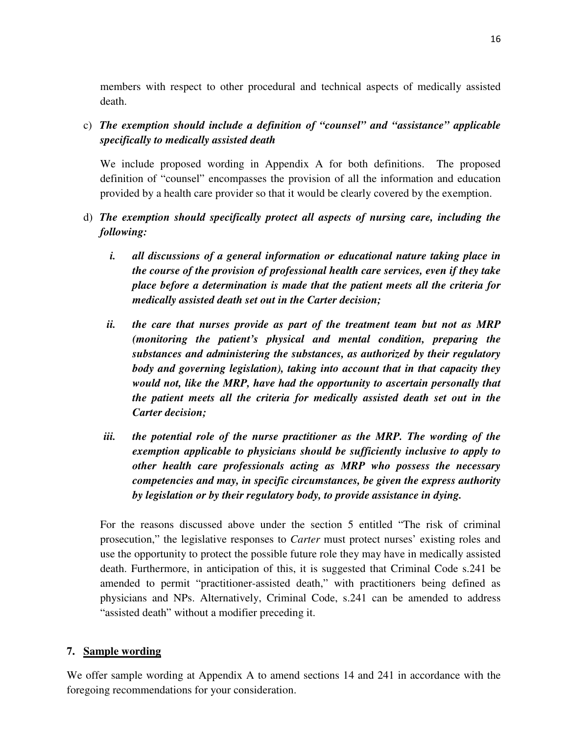members with respect to other procedural and technical aspects of medically assisted death.

c) *The exemption should include a definition of "counsel" and "assistance" applicable specifically to medically assisted death* 

We include proposed wording in Appendix A for both definitions. The proposed definition of "counsel" encompasses the provision of all the information and education provided by a health care provider so that it would be clearly covered by the exemption.

- d) *The exemption should specifically protect all aspects of nursing care, including the following:*
	- *i. all discussions of a general information or educational nature taking place in the course of the provision of professional health care services, even if they take place before a determination is made that the patient meets all the criteria for medically assisted death set out in the Carter decision;*
	- *ii. the care that nurses provide as part of the treatment team but not as MRP (monitoring the patient's physical and mental condition, preparing the substances and administering the substances, as authorized by their regulatory body and governing legislation), taking into account that in that capacity they would not, like the MRP, have had the opportunity to ascertain personally that the patient meets all the criteria for medically assisted death set out in the Carter decision;*
	- *iii. the potential role of the nurse practitioner as the MRP. The wording of the exemption applicable to physicians should be sufficiently inclusive to apply to other health care professionals acting as MRP who possess the necessary competencies and may, in specific circumstances, be given the express authority by legislation or by their regulatory body, to provide assistance in dying.*

For the reasons discussed above under the section 5 entitled "The risk of criminal prosecution," the legislative responses to *Carter* must protect nurses' existing roles and use the opportunity to protect the possible future role they may have in medically assisted death. Furthermore, in anticipation of this, it is suggested that Criminal Code s.241 be amended to permit "practitioner-assisted death," with practitioners being defined as physicians and NPs. Alternatively, Criminal Code, s.241 can be amended to address "assisted death" without a modifier preceding it.

#### **7. Sample wording**

We offer sample wording at Appendix A to amend sections 14 and 241 in accordance with the foregoing recommendations for your consideration.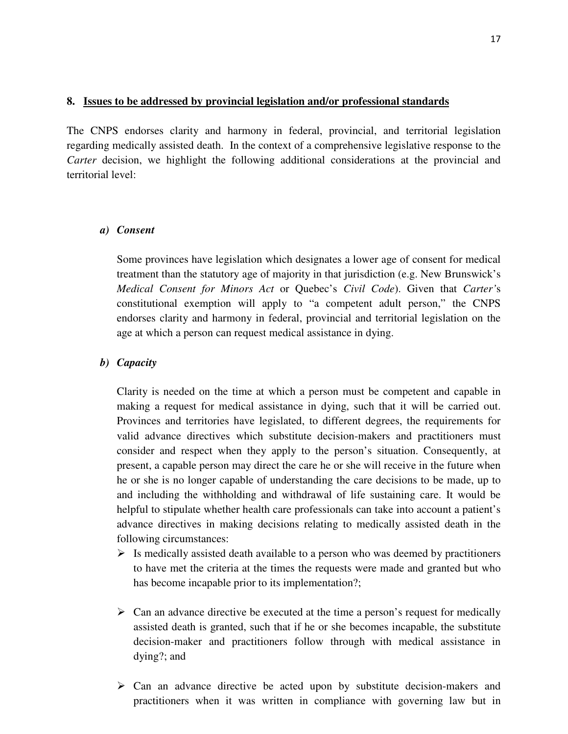#### **8. Issues to be addressed by provincial legislation and/or professional standards**

The CNPS endorses clarity and harmony in federal, provincial, and territorial legislation regarding medically assisted death. In the context of a comprehensive legislative response to the *Carter* decision, we highlight the following additional considerations at the provincial and territorial level:

#### *a) Consent*

Some provinces have legislation which designates a lower age of consent for medical treatment than the statutory age of majority in that jurisdiction (e.g. New Brunswick's *Medical Consent for Minors Act* or Quebec's *Civil Code*). Given that *Carter'*s constitutional exemption will apply to "a competent adult person," the CNPS endorses clarity and harmony in federal, provincial and territorial legislation on the age at which a person can request medical assistance in dying.

#### *b) Capacity*

Clarity is needed on the time at which a person must be competent and capable in making a request for medical assistance in dying, such that it will be carried out. Provinces and territories have legislated, to different degrees, the requirements for valid advance directives which substitute decision-makers and practitioners must consider and respect when they apply to the person's situation. Consequently, at present, a capable person may direct the care he or she will receive in the future when he or she is no longer capable of understanding the care decisions to be made, up to and including the withholding and withdrawal of life sustaining care. It would be helpful to stipulate whether health care professionals can take into account a patient's advance directives in making decisions relating to medically assisted death in the following circumstances:

- $\triangleright$  Is medically assisted death available to a person who was deemed by practitioners to have met the criteria at the times the requests were made and granted but who has become incapable prior to its implementation?;
- $\triangleright$  Can an advance directive be executed at the time a person's request for medically assisted death is granted, such that if he or she becomes incapable, the substitute decision-maker and practitioners follow through with medical assistance in dying?; and
- $\triangleright$  Can an advance directive be acted upon by substitute decision-makers and practitioners when it was written in compliance with governing law but in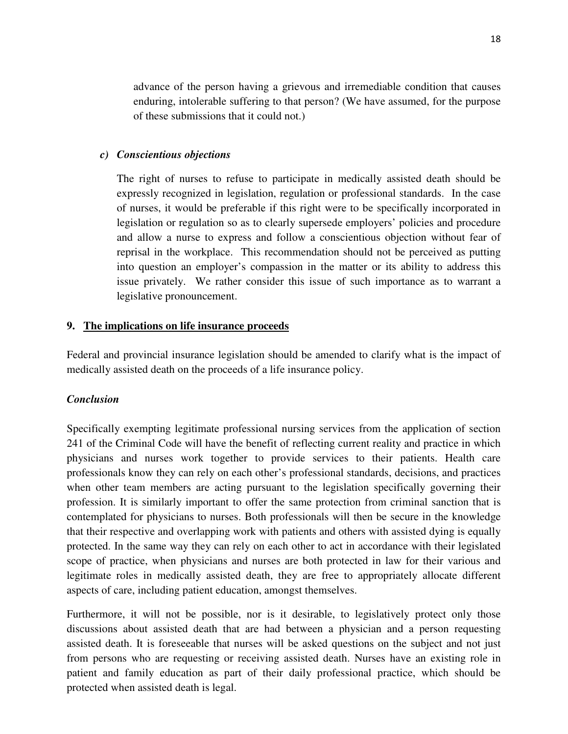advance of the person having a grievous and irremediable condition that causes enduring, intolerable suffering to that person? (We have assumed, for the purpose of these submissions that it could not.)

#### *c) Conscientious objections*

The right of nurses to refuse to participate in medically assisted death should be expressly recognized in legislation, regulation or professional standards. In the case of nurses, it would be preferable if this right were to be specifically incorporated in legislation or regulation so as to clearly supersede employers' policies and procedure and allow a nurse to express and follow a conscientious objection without fear of reprisal in the workplace. This recommendation should not be perceived as putting into question an employer's compassion in the matter or its ability to address this issue privately. We rather consider this issue of such importance as to warrant a legislative pronouncement.

#### **9. The implications on life insurance proceeds**

Federal and provincial insurance legislation should be amended to clarify what is the impact of medically assisted death on the proceeds of a life insurance policy.

#### *Conclusion*

Specifically exempting legitimate professional nursing services from the application of section 241 of the Criminal Code will have the benefit of reflecting current reality and practice in which physicians and nurses work together to provide services to their patients. Health care professionals know they can rely on each other's professional standards, decisions, and practices when other team members are acting pursuant to the legislation specifically governing their profession. It is similarly important to offer the same protection from criminal sanction that is contemplated for physicians to nurses. Both professionals will then be secure in the knowledge that their respective and overlapping work with patients and others with assisted dying is equally protected. In the same way they can rely on each other to act in accordance with their legislated scope of practice, when physicians and nurses are both protected in law for their various and legitimate roles in medically assisted death, they are free to appropriately allocate different aspects of care, including patient education, amongst themselves.

Furthermore, it will not be possible, nor is it desirable, to legislatively protect only those discussions about assisted death that are had between a physician and a person requesting assisted death. It is foreseeable that nurses will be asked questions on the subject and not just from persons who are requesting or receiving assisted death. Nurses have an existing role in patient and family education as part of their daily professional practice, which should be protected when assisted death is legal.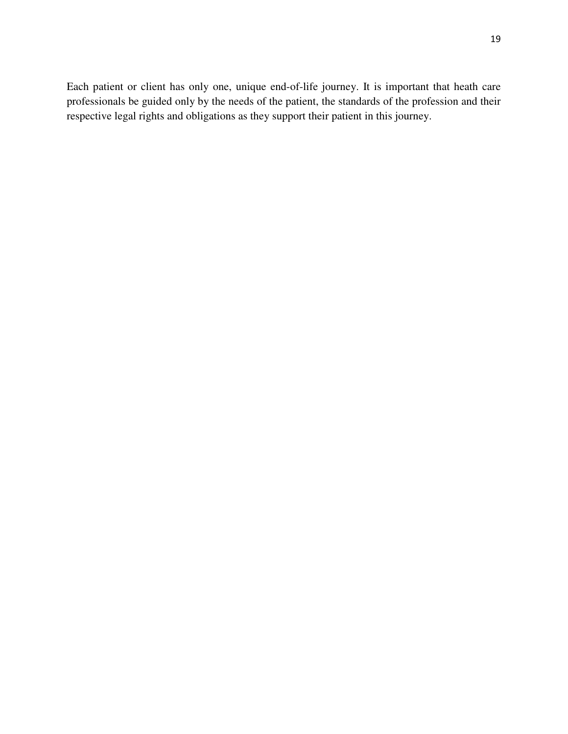Each patient or client has only one, unique end-of-life journey. It is important that heath care professionals be guided only by the needs of the patient, the standards of the profession and their respective legal rights and obligations as they support their patient in this journey.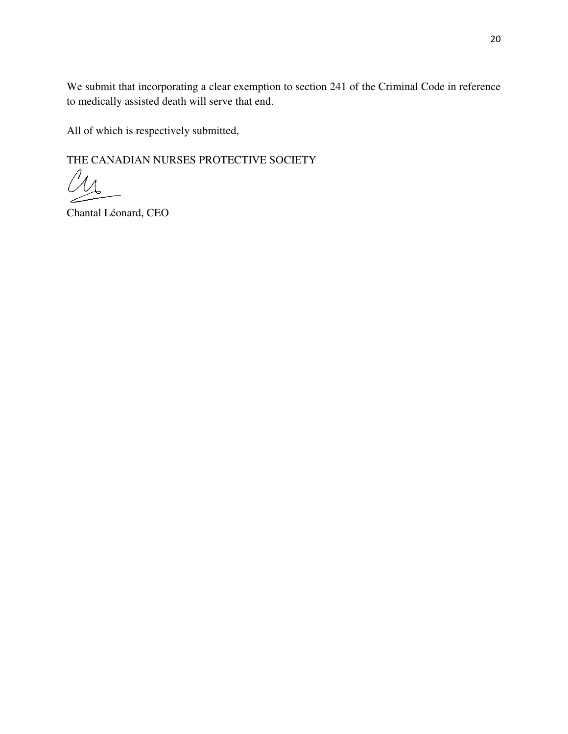We submit that incorporating a clear exemption to section 241 of the Criminal Code in reference to medically assisted death will serve that end.

All of which is respectively submitted,

THE CANADIAN NURSES PROTECTIVE SOCIETY

M

Chantal Léonard, CEO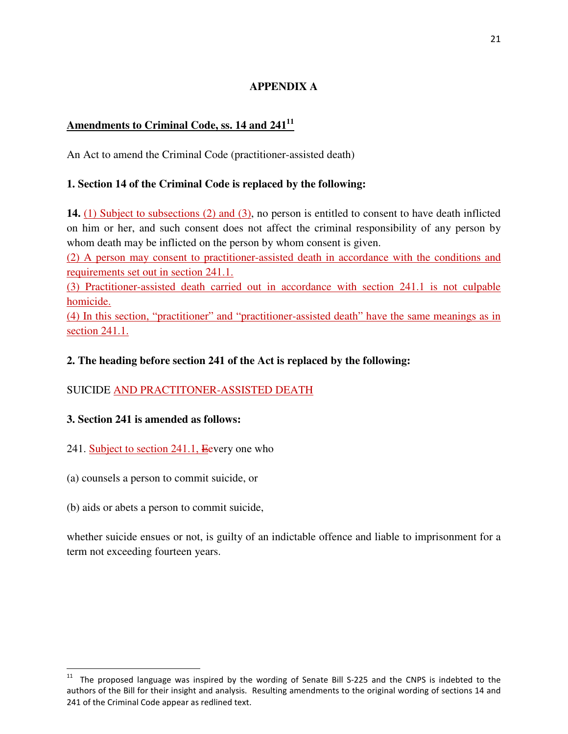# **APPENDIX A**

# **Amendments to Criminal Code, ss. 14 and 241<sup>11</sup>**

An Act to amend the Criminal Code (practitioner-assisted death)

### **1. Section 14 of the Criminal Code is replaced by the following:**

**14.** (1) Subject to subsections (2) and (3), no person is entitled to consent to have death inflicted on him or her, and such consent does not affect the criminal responsibility of any person by whom death may be inflicted on the person by whom consent is given.

(2) A person may consent to practitioner-assisted death in accordance with the conditions and requirements set out in section 241.1.

(3) Practitioner-assisted death carried out in accordance with section 241.1 is not culpable homicide.

(4) In this section, "practitioner" and "practitioner-assisted death" have the same meanings as in section 241.1.

### **2. The heading before section 241 of the Act is replaced by the following:**

# SUICIDE AND PRACTITONER-ASSISTED DEATH

#### **3. Section 241 is amended as follows:**

- 241. Subject to section 241.1, Eevery one who
- (a) counsels a person to commit suicide, or
- (b) aids or abets a person to commit suicide,

l

whether suicide ensues or not, is guilty of an indictable offence and liable to imprisonment for a term not exceeding fourteen years.

 $11$  The proposed language was inspired by the wording of Senate Bill S-225 and the CNPS is indebted to the authors of the Bill for their insight and analysis. Resulting amendments to the original wording of sections 14 and 241 of the Criminal Code appear as redlined text.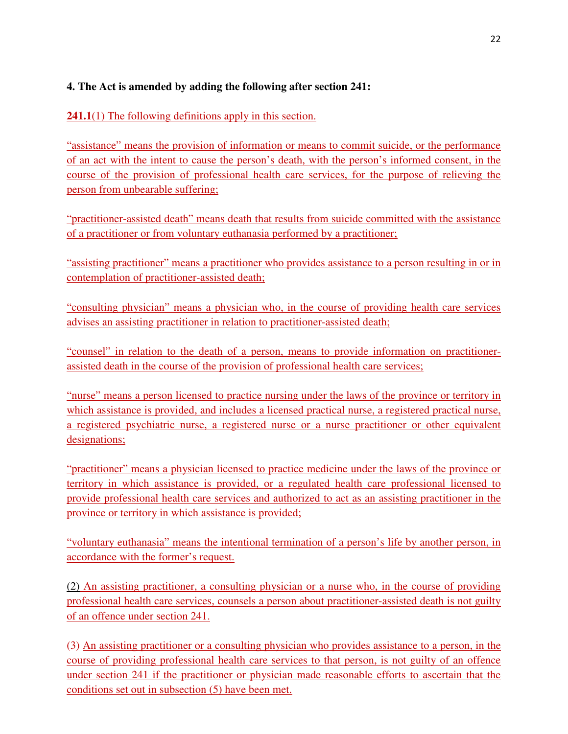# **4. The Act is amended by adding the following after section 241:**

**241.1**(1) The following definitions apply in this section.

"assistance" means the provision of information or means to commit suicide, or the performance of an act with the intent to cause the person's death, with the person's informed consent, in the course of the provision of professional health care services, for the purpose of relieving the person from unbearable suffering;

"practitioner-assisted death" means death that results from suicide committed with the assistance of a practitioner or from voluntary euthanasia performed by a practitioner;

"assisting practitioner" means a practitioner who provides assistance to a person resulting in or in contemplation of practitioner-assisted death;

"consulting physician" means a physician who, in the course of providing health care services advises an assisting practitioner in relation to practitioner-assisted death;

"counsel" in relation to the death of a person, means to provide information on practitionerassisted death in the course of the provision of professional health care services;

"nurse" means a person licensed to practice nursing under the laws of the province or territory in which assistance is provided, and includes a licensed practical nurse, a registered practical nurse, a registered psychiatric nurse, a registered nurse or a nurse practitioner or other equivalent designations;

"practitioner" means a physician licensed to practice medicine under the laws of the province or territory in which assistance is provided, or a regulated health care professional licensed to provide professional health care services and authorized to act as an assisting practitioner in the province or territory in which assistance is provided;

"voluntary euthanasia" means the intentional termination of a person's life by another person, in accordance with the former's request.

(2) An assisting practitioner, a consulting physician or a nurse who, in the course of providing professional health care services, counsels a person about practitioner-assisted death is not guilty of an offence under section 241.

(3) An assisting practitioner or a consulting physician who provides assistance to a person, in the course of providing professional health care services to that person, is not guilty of an offence under section 241 if the practitioner or physician made reasonable efforts to ascertain that the conditions set out in subsection (5) have been met.